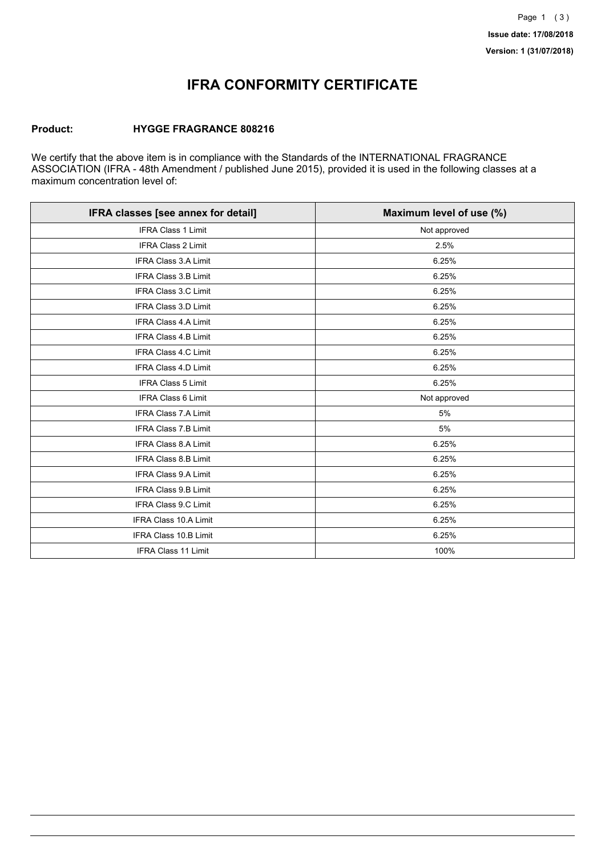## **IFRA CONFORMITY CERTIFICATE**

### **Product: HYGGE FRAGRANCE 808216**

We certify that the above item is in compliance with the Standards of the INTERNATIONAL FRAGRANCE ASSOCIATION (IFRA - 48th Amendment / published June 2015), provided it is used in the following classes at a maximum concentration level of:

| IFRA classes [see annex for detail] | Maximum level of use (%) |
|-------------------------------------|--------------------------|
| <b>IFRA Class 1 Limit</b>           | Not approved             |
| <b>IFRA Class 2 Limit</b>           | 2.5%                     |
| <b>IFRA Class 3.A Limit</b>         | 6.25%                    |
| <b>IFRA Class 3.B Limit</b>         | 6.25%                    |
| IFRA Class 3.C Limit                | 6.25%                    |
| <b>IFRA Class 3.D Limit</b>         | 6.25%                    |
| <b>IFRA Class 4.A Limit</b>         | 6.25%                    |
| <b>IFRA Class 4.B Limit</b>         | 6.25%                    |
| IFRA Class 4.C Limit                | 6.25%                    |
| IFRA Class 4.D Limit                | 6.25%                    |
| <b>IFRA Class 5 Limit</b>           | 6.25%                    |
| <b>IFRA Class 6 Limit</b>           | Not approved             |
| <b>IFRA Class 7.A Limit</b>         | 5%                       |
| IFRA Class 7.B Limit                | 5%                       |
| IFRA Class 8.A Limit                | 6.25%                    |
| <b>IFRA Class 8.B Limit</b>         | 6.25%                    |
| <b>IFRA Class 9.A Limit</b>         | 6.25%                    |
| <b>IFRA Class 9.B Limit</b>         | 6.25%                    |
| IFRA Class 9.C Limit                | 6.25%                    |
| IFRA Class 10.A Limit               | 6.25%                    |
| IFRA Class 10.B Limit               | 6.25%                    |
| <b>IFRA Class 11 Limit</b>          | 100%                     |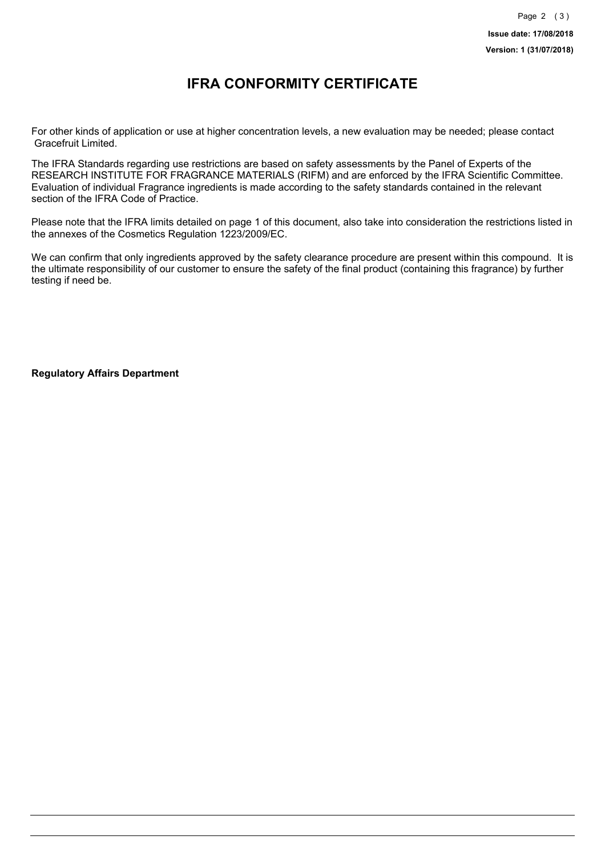### **IFRA CONFORMITY CERTIFICATE**

For other kinds of application or use at higher concentration levels, a new evaluation may be needed; please contact Gracefruit Limited.

The IFRA Standards regarding use restrictions are based on safety assessments by the Panel of Experts of the RESEARCH INSTITUTE FOR FRAGRANCE MATERIALS (RIFM) and are enforced by the IFRA Scientific Committee. Evaluation of individual Fragrance ingredients is made according to the safety standards contained in the relevant section of the IFRA Code of Practice.

Please note that the IFRA limits detailed on page 1 of this document, also take into consideration the restrictions listed in the annexes of the Cosmetics Regulation 1223/2009/EC.

We can confirm that only ingredients approved by the safety clearance procedure are present within this compound. It is the ultimate responsibility of our customer to ensure the safety of the final product (containing this fragrance) by further testing if need be.

**Regulatory Affairs Department**